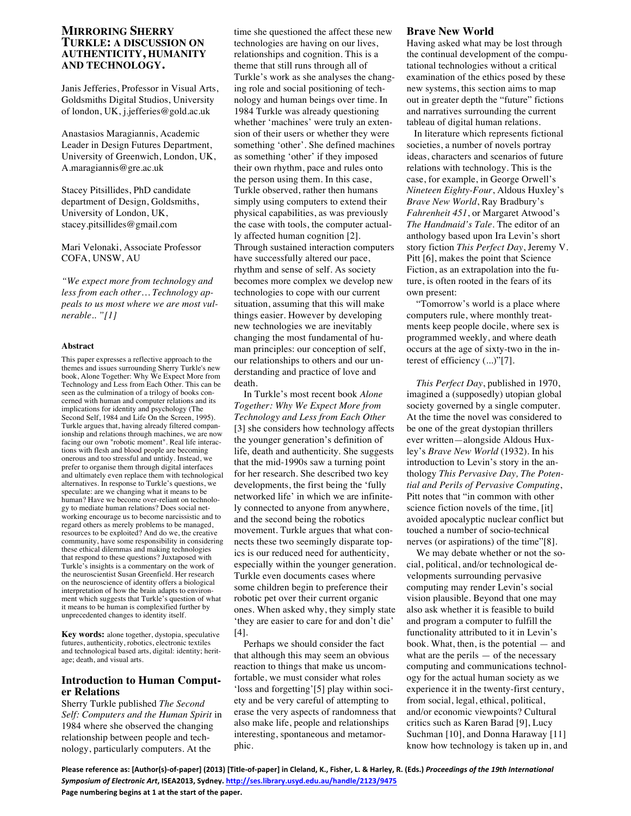## **MIRRORING SHERRY TURKLE: A DISCUSSION ON AUTHENTICITY, HUMANITY AND TECHNOLOGY.**

Janis Jefferies, Professor in Visual Arts, Goldsmiths Digital Studios, University of london, UK, j.jefferies@gold.ac.uk

Anastasios Maragiannis, Academic Leader in Design Futures Department, University of Greenwich, London, UK, A.maragiannis@gre.ac.uk

Stacey Pitsillides, PhD candidate department of Design, Goldsmiths, University of London, UK, stacey.pitsillides@gmail.com

Mari Velonaki, Associate Professor COFA, UNSW, AU

*"We expect more from technology and less from each other… Technology appeals to us most where we are most vulnerable.. "[1]*

#### **Abstract**

This paper expresses a reflective approach to the themes and issues surrounding Sherry Turkle's new book, Alone Together: Why We Expect More from Technology and Less from Each Other. This can be seen as the culmination of a trilogy of books concerned with human and computer relations and its implications for identity and psychology (The Second Self, 1984 and Life On the Screen, 1995). Turkle argues that, having already filtered companionship and relations through machines, we are now facing our own "robotic moment". Real life interactions with flesh and blood people are becoming onerous and too stressful and untidy. Instead, we prefer to organise them through digital interfaces and ultimately even replace them with technological alternatives. In response to Turkle's questions, we speculate: are we changing what it means to be human? Have we become over-reliant on technology to mediate human relations? Does social networking encourage us to become narcissistic and to regard others as merely problems to be managed, resources to be exploited? And do we, the creative community, have some responsibility in considering these ethical dilemmas and making technologies that respond to these questions? Juxtaposed with Turkle's insights is a commentary on the work of the neuroscientist Susan Greenfield. Her research on the neuroscience of identity offers a biological interpretation of how the brain adapts to environment which suggests that Turkle's question of what it means to be human is complexified further by unprecedented changes to identity itself.

**Key words:** alone together, dystopia, speculative futures, authenticity, robotics, electronic textiles and technological based arts, digital: identity; heritage; death, and visual arts.

### **Introduction to Human Computer Relations**

Sherry Turkle published *The Second Self: Computers and the Human Spirit* in 1984 where she observed the changing relationship between people and technology, particularly computers. At the

time she questioned the affect these new technologies are having on our lives, relationships and cognition. This is a theme that still runs through all of Turkle's work as she analyses the changing role and social positioning of technology and human beings over time. In 1984 Turkle was already questioning whether 'machines' were truly an extension of their users or whether they were something 'other'. She defined machines as something 'other' if they imposed their own rhythm, pace and rules onto the person using them. In this case, Turkle observed, rather then humans simply using computers to extend their physical capabilities, as was previously the case with tools, the computer actually affected human cognition [2]. Through sustained interaction computers have successfully altered our pace, rhythm and sense of self. As society becomes more complex we develop new technologies to cope with our current situation, assuming that this will make things easier. However by developing new technologies we are inevitably changing the most fundamental of human principles: our conception of self, our relationships to others and our understanding and practice of love and death.

In Turkle's most recent book *Alone Together: Why We Expect More from Technology and Less from Each Other* [3] she considers how technology affects the younger generation's definition of life, death and authenticity. She suggests that the mid-1990s saw a turning point for her research. She described two key developments, the first being the 'fully networked life' in which we are infinitely connected to anyone from anywhere, and the second being the robotics movement. Turkle argues that what connects these two seemingly disparate topics is our reduced need for authenticity, especially within the younger generation. Turkle even documents cases where some children begin to preference their robotic pet over their current organic ones. When asked why, they simply state 'they are easier to care for and don't die' [4].

Perhaps we should consider the fact that although this may seem an obvious reaction to things that make us uncomfortable, we must consider what roles 'loss and forgetting'[5] play within society and be very careful of attempting to erase the very aspects of randomness that also make life, people and relationships interesting, spontaneous and metamorphic.

### **Brave New World**

Having asked what may be lost through the continual development of the computational technologies without a critical examination of the ethics posed by these new systems, this section aims to map out in greater depth the "future" fictions and narratives surrounding the current tableau of digital human relations.

In literature which represents fictional societies, a number of novels portray ideas, characters and scenarios of future relations with technology. This is the case, for example, in George Orwell's *Nineteen Eighty-Four*, Aldous Huxley's *Brave New World*, Ray Bradbury's *Fahrenheit 451*, or Margaret Atwood's *The Handmaid's Tale*. The editor of an anthology based upon Ira Levin's short story fiction *This Perfect Day*, Jeremy V. Pitt [6], makes the point that Science Fiction, as an extrapolation into the future, is often rooted in the fears of its own present:

"Tomorrow's world is a place where computers rule, where monthly treatments keep people docile, where sex is programmed weekly, and where death occurs at the age of sixty-two in the interest of efficiency (...)"[7].

*This Perfect Day*, published in 1970, imagined a (supposedly) utopian global society governed by a single computer. At the time the novel was considered to be one of the great dystopian thrillers ever written—alongside Aldous Huxley's *Brave New World* (1932). In his introduction to Levin's story in the anthology *This Pervasive Day, The Potential and Perils of Pervasive Computing*, Pitt notes that "in common with other science fiction novels of the time, [it] avoided apocalyptic nuclear conflict but touched a number of socio-technical nerves (or aspirations) of the time"[8].

We may debate whether or not the social, political, and/or technological developments surrounding pervasive computing may render Levin's social vision plausible. Beyond that one may also ask whether it is feasible to build and program a computer to fulfill the functionality attributed to it in Levin's book. What, then, is the potential — and what are the perils  $-$  of the necessary computing and communications technology for the actual human society as we experience it in the twenty-first century, from social, legal, ethical, political, and/or economic viewpoints? Cultural critics such as Karen Barad [9], Lucy Suchman [10], and Donna Haraway [11] know how technology is taken up in, and

Please reference as: [Author(s)-of-paper] (2013) [Title-of-paper] in Cleland, K., Fisher, L. & Harley, R. (Eds.) Proceedings of the 19th International *Symposium of Electronic Art***, ISEA2013, Sydney. http://ses.library.usyd.edu.au/handle/2123/9475** Page numbering begins at 1 at the start of the paper.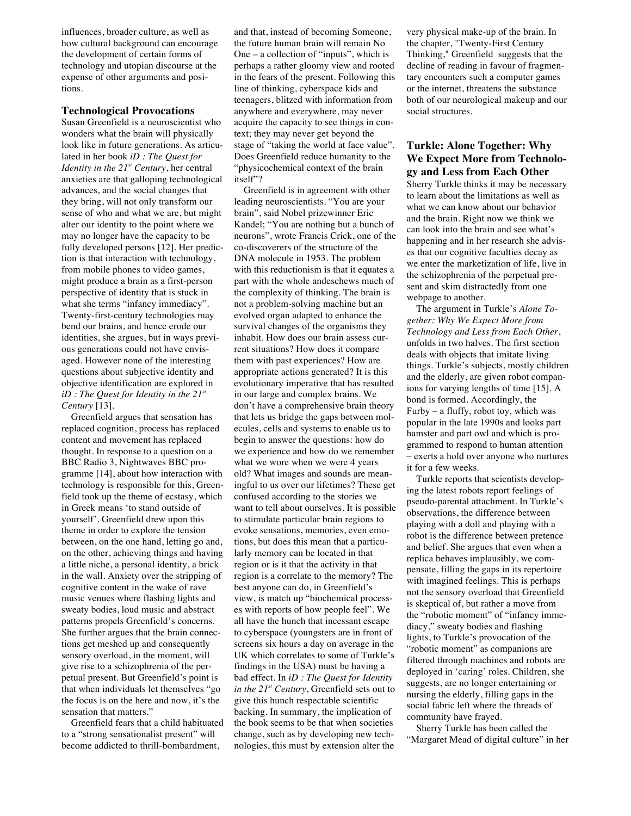influences, broader culture, as well as how cultural background can encourage the development of certain forms of technology and utopian discourse at the expense of other arguments and positions.

### **Technological Provocations**

Susan Greenfield is a neuroscientist who wonders what the brain will physically look like in future generations. As articulated in her book *iD : The Quest for Identity in the 21st Century*, her central anxieties are that galloping technological advances, and the social changes that they bring, will not only transform our sense of who and what we are, but might alter our identity to the point where we may no longer have the capacity to be fully developed persons [12]. Her prediction is that interaction with technology, from mobile phones to video games, might produce a brain as a first-person perspective of identity that is stuck in what she terms "infancy immediacy". Twenty-first-century technologies may bend our brains, and hence erode our identities, she argues, but in ways previous generations could not have envisaged. However none of the interesting questions about subjective identity and objective identification are explored in *iD : The Quest for Identity in the 21st Century* [13].

Greenfield argues that sensation has replaced cognition, process has replaced content and movement has replaced thought. In response to a question on a BBC Radio 3, Nightwaves BBC programme [14], about how interaction with technology is responsible for this, Greenfield took up the theme of ecstasy, which in Greek means 'to stand outside of yourself'. Greenfield drew upon this theme in order to explore the tension between, on the one hand, letting go and, on the other, achieving things and having a little niche, a personal identity, a brick in the wall. Anxiety over the stripping of cognitive content in the wake of rave music venues where flashing lights and sweaty bodies, loud music and abstract patterns propels Greenfield's concerns. She further argues that the brain connections get meshed up and consequently sensory overload, in the moment, will give rise to a schizophrenia of the perpetual present. But Greenfield's point is that when individuals let themselves "go the focus is on the here and now, it's the sensation that matters."

Greenfield fears that a child habituated to a "strong sensationalist present" will become addicted to thrill-bombardment,

and that, instead of becoming Someone, the future human brain will remain No One – a collection of "inputs", which is perhaps a rather gloomy view and rooted in the fears of the present. Following this line of thinking, cyberspace kids and teenagers, blitzed with information from anywhere and everywhere, may never acquire the capacity to see things in context; they may never get beyond the stage of "taking the world at face value". Does Greenfield reduce humanity to the "physicochemical context of the brain itself"?

Greenfield is in agreement with other leading neuroscientists. "You are your brain", said Nobel prizewinner Eric Kandel; "You are nothing but a bunch of neurons", wrote Francis Crick, one of the co-discoverers of the structure of the DNA molecule in 1953. The problem with this reductionism is that it equates a part with the whole andeschews much of the complexity of thinking. The brain is not a problem-solving machine but an evolved organ adapted to enhance the survival changes of the organisms they inhabit. How does our brain assess current situations? How does it compare them with past experiences? How are appropriate actions generated? It is this evolutionary imperative that has resulted in our large and complex brains. We don't have a comprehensive brain theory that lets us bridge the gaps between molecules, cells and systems to enable us to begin to answer the questions: how do we experience and how do we remember what we wore when we were 4 years old? What images and sounds are meaningful to us over our lifetimes? These get confused according to the stories we want to tell about ourselves. It is possible to stimulate particular brain regions to evoke sensations, memories, even emotions, but does this mean that a particularly memory can be located in that region or is it that the activity in that region is a correlate to the memory? The best anyone can do, in Greenfield's view, is match up "biochemical processes with reports of how people feel". We all have the hunch that incessant escape to cyberspace (youngsters are in front of screens six hours a day on average in the UK which correlates to some of Turkle's findings in the USA) must be having a bad effect. In *iD : The Quest for Identity in the 21st Century*, Greenfield sets out to give this hunch respectable scientific backing. In summary, the implication of the book seems to be that when societies change, such as by developing new technologies, this must by extension alter the

very physical make-up of the brain. In the chapter, "Twenty-First Century Thinking," Greenfield suggests that the decline of reading in favour of fragmentary encounters such a computer games or the internet, threatens the substance both of our neurological makeup and our social structures.

# **Turkle: Alone Together: Why We Expect More from Technology and Less from Each Other**

Sherry Turkle thinks it may be necessary to learn about the limitations as well as what we can know about our behavior and the brain. Right now we think we can look into the brain and see what's happening and in her research she advises that our cognitive faculties decay as we enter the marketization of life, live in the schizophrenia of the perpetual present and skim distractedly from one webpage to another.

The argument in Turkle's *Alone Together: Why We Expect More from Technology and Less from Each Other*, unfolds in two halves. The first section deals with objects that imitate living things. Turkle's subjects, mostly children and the elderly, are given robot companions for varying lengths of time [15]. A bond is formed. Accordingly, the Furby – a fluffy, robot toy, which was popular in the late 1990s and looks part hamster and part owl and which is programmed to respond to human attention – exerts a hold over anyone who nurtures it for a few weeks.

Turkle reports that scientists developing the latest robots report feelings of pseudo-parental attachment. In Turkle's observations, the difference between playing with a doll and playing with a robot is the difference between pretence and belief. She argues that even when a replica behaves implausibly, we compensate, filling the gaps in its repertoire with imagined feelings. This is perhaps not the sensory overload that Greenfield is skeptical of, but rather a move from the "robotic moment" of "infancy immediacy," sweaty bodies and flashing lights, to Turkle's provocation of the "robotic moment" as companions are filtered through machines and robots are deployed in 'caring' roles. Children, she suggests, are no longer entertaining or nursing the elderly, filling gaps in the social fabric left where the threads of community have frayed.

Sherry Turkle has been called the "Margaret Mead of digital culture" in her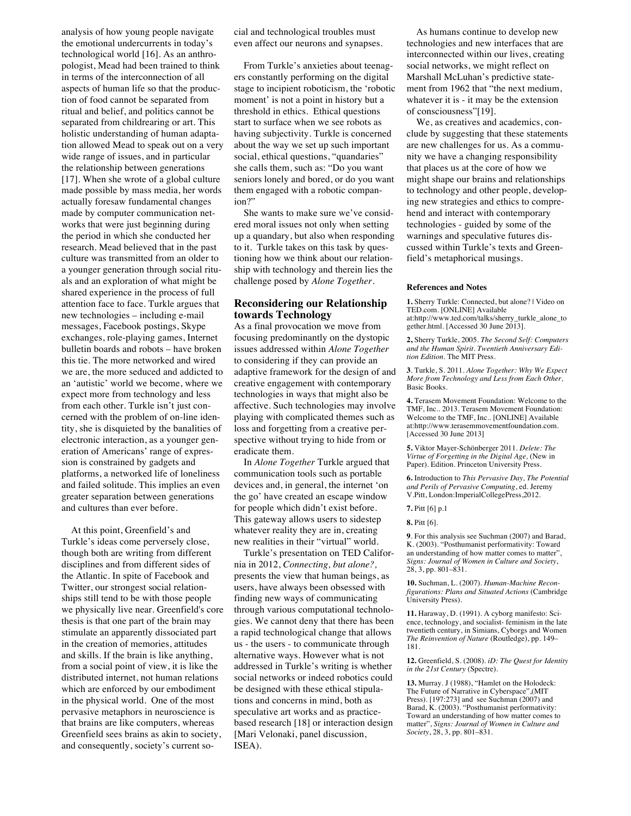analysis of how young people navigate the emotional undercurrents in today's technological world [16]. As an anthropologist, Mead had been trained to think in terms of the interconnection of all aspects of human life so that the production of food cannot be separated from ritual and belief, and politics cannot be separated from childrearing or art. This holistic understanding of human adaptation allowed Mead to speak out on a very wide range of issues, and in particular the relationship between generations [17]. When she wrote of a global culture made possible by mass media, her words actually foresaw fundamental changes made by computer communication networks that were just beginning during the period in which she conducted her research. Mead believed that in the past culture was transmitted from an older to a younger generation through social rituals and an exploration of what might be shared experience in the process of full attention face to face. Turkle argues that new technologies – including e-mail messages, Facebook postings, Skype exchanges, role-playing games, Internet bulletin boards and robots – have broken this tie. The more networked and wired we are, the more seduced and addicted to an 'autistic' world we become, where we expect more from technology and less from each other. Turkle isn't just concerned with the problem of on-line identity, she is disquieted by the banalities of electronic interaction, as a younger generation of Americans' range of expression is constrained by gadgets and platforms, a networked life of loneliness and failed solitude. This implies an even greater separation between generations and cultures than ever before.

At this point, Greenfield's and Turkle's ideas come perversely close, though both are writing from different disciplines and from different sides of the Atlantic. In spite of Facebook and Twitter, our strongest social relationships still tend to be with those people we physically live near. Greenfield's core thesis is that one part of the brain may stimulate an apparently dissociated part in the creation of memories, attitudes and skills. If the brain is like anything, from a social point of view, it is like the distributed internet, not human relations which are enforced by our embodiment in the physical world. One of the most pervasive metaphors in neuroscience is that brains are like computers, whereas Greenfield sees brains as akin to society, and consequently, society's current social and technological troubles must even affect our neurons and synapses.

From Turkle's anxieties about teenagers constantly performing on the digital stage to incipient roboticism, the 'robotic moment' is not a point in history but a threshold in ethics. Ethical questions start to surface when we see robots as having subjectivity. Turkle is concerned about the way we set up such important social, ethical questions, "quandaries" she calls them, such as: "Do you want seniors lonely and bored, or do you want them engaged with a robotic companion?"

She wants to make sure we've considered moral issues not only when setting up a quandary, but also when responding to it. Turkle takes on this task by questioning how we think about our relationship with technology and therein lies the challenge posed by *Alone Together*.

## **Reconsidering our Relationship towards Technology**

As a final provocation we move from focusing predominantly on the dystopic issues addressed within *Alone Together* to considering if they can provide an adaptive framework for the design of and creative engagement with contemporary technologies in ways that might also be affective. Such technologies may involve playing with complicated themes such as loss and forgetting from a creative perspective without trying to hide from or eradicate them.

In *Alone Together* Turkle argued that communication tools such as portable devices and, in general, the internet 'on the go' have created an escape window for people which didn't exist before. This gateway allows users to sidestep whatever reality they are in, creating new realities in their "virtual" world.

Turkle's presentation on TED California in 2012, *Connecting, but alone?,* presents the view that human beings, as users, have always been obsessed with finding new ways of communicating through various computational technologies. We cannot deny that there has been a rapid technological change that allows us - the users - to communicate through alternative ways. However what is not addressed in Turkle's writing is whether social networks or indeed robotics could be designed with these ethical stipulations and concerns in mind, both as speculative art works and as practicebased research [18] or interaction design [Mari Velonaki, panel discussion, ISEA).

As humans continue to develop new technologies and new interfaces that are interconnected within our lives, creating social networks, we might reflect on Marshall McLuhan's predictive statement from 1962 that "the next medium, whatever it is - it may be the extension of consciousness"[19].

We, as creatives and academics, conclude by suggesting that these statements are new challenges for us. As a community we have a changing responsibility that places us at the core of how we might shape our brains and relationships to technology and other people, developing new strategies and ethics to comprehend and interact with contemporary technologies - guided by some of the warnings and speculative futures discussed within Turkle's texts and Greenfield's metaphorical musings.

#### **References and Notes**

**1.** Sherry Turkle: Connected, but alone? | Video on TED.com. [ONLINE] Available at:http://www.ted.com/talks/sherry\_turkle\_alone\_to gether.html. [Accessed 30 June 2013].

**2,** Sherry Turkle, 2005. *The Second Self: Computers and the Human Spirit. Twentieth Anniversary Edition Edition*. The MIT Press.

**3**. Turkle, S. 2011. *Alone Together: Why We Expect More from Technology and Less from Each Other,* Basic Books.

**4.** Terasem Movement Foundation: Welcome to the TMF, Inc.. 2013. Terasem Movement Foundation: Welcome to the TMF, Inc.. [ONLINE] Available at:http://www.terasemmovementfoundation.com. [Accessed 30 June 2013]

**5.** Viktor Mayer-Schönberger 2011. *Delete: The Virtue of Forgetting in the Digital Age,* (New in Paper). Edition. Princeton University Press.

**6.** Introduction to *This Pervasive Day, The Potential and Perils of Pervasive Computing*, ed. Jeremy V.Pitt, London:ImperialCollegePress,2012.

**9**. For this analysis see Suchman (2007) and Barad, K. (2003). "Posthumanist performativity: Toward an understanding of how matter comes to matter", *Signs: Journal of Women in Culture and Society*, 28, 3, pp. 801–831.

**10.** Suchman, L. (2007). *Human-Machine Reconfigurations: Plans and Situated Actions* (Cambridge University Press).

**11.** Haraway, D. (1991). A cyborg manifesto: Science, technology, and socialist- feminism in the late twentieth century, in Simians, Cyborgs and Women *The Reinvention of Nature* (Routledge), pp. 149– 181.

**12.** Greenfield, S. (2008). *iD: The Quest for Identity in the 21st Century* (Spectre).

**13.** Murray. J (1988), "Hamlet on the Holodeck: The Future of Narrative in Cyberspace",(MIT Press). [197:273] and see Suchman (2007) and Barad, K. (2003). "Posthumanist performativity: Toward an understanding of how matter comes to matter", *Signs: Journal of Women in Culture and Society*, 28, 3, pp. 801–831.

**<sup>7.</sup>** Pitt [6] p.1

**<sup>8.</sup>** Pitt [6].